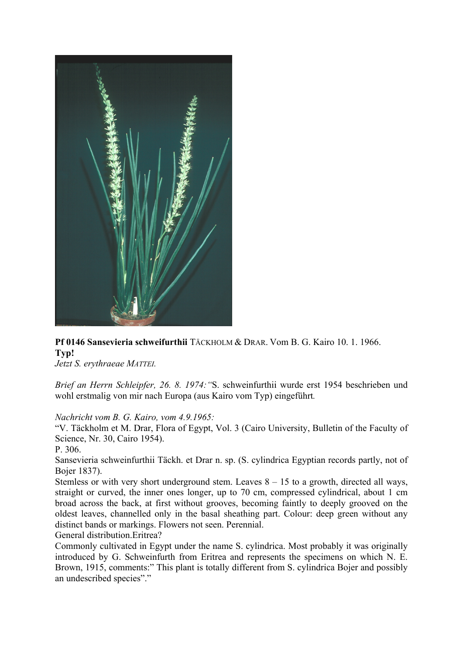

**Pf 0146 Sansevieria schweifurthii** TÄCKHOLM & DRAR. Vom B. G. Kairo 10. 1. 1966. **Typ!** 

*Jetzt S. erythraeae MATTEI.* 

*Brief an Herrn Schleipfer, 26. 8. 1974:"*S. schweinfurthii wurde erst 1954 beschrieben und wohl erstmalig von mir nach Europa (aus Kairo vom Typ) eingeführt*.* 

*Nachricht vom B. G. Kairo, vom 4.9.1965:* 

"V. Täckholm et M. Drar, Flora of Egypt, Vol. 3 (Cairo University, Bulletin of the Faculty of Science, Nr. 30, Cairo 1954).

P. 306.

Sansevieria schweinfurthii Täckh. et Drar n. sp. (S. cylindrica Egyptian records partly, not of Bojer 1837).

Stemless or with very short underground stem. Leaves  $8 - 15$  to a growth, directed all ways, straight or curved, the inner ones longer, up to 70 cm, compressed cylindrical, about 1 cm broad across the back, at first without grooves, becoming faintly to deeply grooved on the oldest leaves, channelled only in the basal sheathing part. Colour: deep green without any distinct bands or markings. Flowers not seen. Perennial.

General distribution.Eritrea?

Commonly cultivated in Egypt under the name S. cylindrica. Most probably it was originally introduced by G. Schweinfurth from Eritrea and represents the specimens on which N. E. Brown, 1915, comments:" This plant is totally different from S. cylindrica Bojer and possibly an undescribed species"."